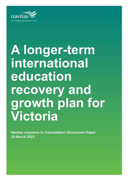

# **A longer-term international education recovery and growth plan for Victoria**

**Navitas response to Consultation Discussion Paper 18 March 2022**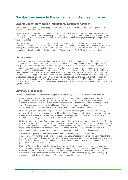# **Navitas' response to the consultation discussion paper**

# **Background to the Victorian International Education Strategy**

The Victorian Government is developing a longer-term plan to drive recovery and a return to growth for our international education sector.

Following the Commonwealth Government's release of its new Australian Strategy for International Education 2021-2030, a national framework is now in place for multiple tiers of government and industry to work together on driving recovery. Victoria's plan will take into consideration the national strategy, while also pursuing a distinct vision for our State.

This submission outlines Navitas' views on the direction of the international education sector in Australia. It broadly reflects the input Navitas provided into the Australian Government's consultation process for Australian Strategy for International Education 2021-2030 as well as specific input related to Navitas' role in Victoria's international education and the role of the Victorian Government and Study Melbourne in supporting this.

# **About Navitas**

Navitas is a global provider of education. In Australia, Navitas delivers programs across the higher education, vocational education, non-award, ELICOS and schools' sectors. Through University Partnerships Australasia (UPA), Navitas partners with nine Australian universities to deliver pathway programs to both domestic and international students (including both Foundation and Diploma) in partnership with nine universities across Australia. In Victoria, this includes partnerships with Deakin University and La Trobe University. In addition to these colleges, Navitas also delivers Academic English programs to students in Victoria through Hawthorn-Melbourne English Language Centre – which provides a pathway to the University of Melbourne – and both academic and general English through Navitas English. Navitas also has two standalone higher education businesses – SAE Institute and Australian College of Applied Psychologists (ACAP) – both of whom have campuses in Melbourne. These businesses both primarily cater to domestic Australian students but are CRICOS registered providers.

# **Summary of response**

Navitas has responded to the consultation paper in full below. Key areas identified in our submission are:

- **Latent risks for Victoria's industry.** Broadly, many of the risks facing Victoria's industry reflects national perceptions of Australia following COVID-19. This includes concerns about how 'open and welcoming' Australia is, as well as a decline in reputation compared to other destination countries over the past few years. Broader areas include the social license of Australia's international education sector, risks of increased racism towards students and the concentrated nature of growth in the sector.
- **Positioning Victoria strongly.** Despite this broader national challenge, Melbourne remains a highly attractive destination for international study. Liveability, cost of living and affordable courses and return on investment (particularly at the undergraduate level) are all important factors that support Melbourne's reputation as a leading city destination for international students.
- **Delivery models and role of government.** As a major player in Australian transnational education, Navitas believes that there are great opportunities in online and offshore education. We therefore welcome the focus of this in the Australian Government's International Education Strategy. However, Navitas also believes that these should not come at the expense of traditional onshore delivery and Australia and instead is a complementary market to existing opportunities that exist for students to study into Australia.
- **Support for all parts of the industry.** Navitas would advocate for ongoing government support and services to be fully available to all parts of the sector, including independent higher education, not only the public university and TAFE sectors. This includes ensuring that government priorities, strategies and actions reflect the interests of the sector broadly – noting government support may be most impactful for the smaller providers in other parts of the sector.
- **Focus of Study Melbourne and Victorian Government.** Navitas supports the key areas of focus identified for Study Melbourne and the roles the Victorian Government currently plays – including a focus on student wellbeing and the student experience, destination marketing initiatives and advocacy to the Australian Government on key policy issues. In addition, the Victorian Government could play a role in amplifying existing sector initiatives – for example IEAA's work on social license.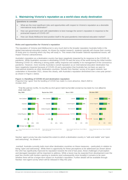# **1. Maintaining Victoria's reputation as a world-class study destination**

### **Questions to consider**

- What are the most significant risks and opportunities with respect to Victoria's reputation as a desirable international study destination?
- How can government work with stakeholders to best manage the sector's reputation in response to the protracted impacts of COVID-19?
- How can Study Melbourne best position itself in the post-pandemic international education market?

### **Risks and opportunities for Victoria's reputation**

The reputation of Victoria (and Melbourne) is very much tied to the broader reputation Australia holds in the global international education market. As shown by market research, students typically will choose their country of study prior to choosing which city they will study in. This means that broader national reputational issues, will impact Victoria's attractiveness.

Australia's reputation as a destination country has been negatively impacted by its response to the COVID-19 pandemic. While Australia's success in eliminating COVID-19 was the envy of the world during the initial months following COVID-19, reflecting a strong public safety response and stability in its management of the coronavirus pandemic. However, more recently Australia's overall reputation as an international education destination has been negatively impacted because of COVID-19 and a perception that Australia has not been as open to international students as other destination countries. Results from Navitas' survey of its agent network, last undertaken in November 2021, shows this clearly, with Australia's reputation diminished over a two-year period – as shown in [Figure 1](#page-2-0) below.

### <span id="page-2-0"></span>**Figure 1 | Handling of COVID-19 and destination reputation**

*Proportion that 'agree' that the handling of COVID has made it a more attractive, March 2020 to October 2021*



"Over the past two months, the way this country's government has handled coronavirus has made it a more attractive study destination."

Navitas' agent survey has also tracked the extent to which a destination country is "safe and stable" and "open and welcoming". As shown in

overleaf, Australia currently trails most other destination countries on these measures – particularly in relation to being "open and welcoming". While there is opportunity for these perceptions to be addressed (as shown above the USA has significantly improved its reputation towards the end of last year), these challenges of perception and damaged reputation will be important to address. While a boost may be expected from development over the past few months with borders opening to students (and subsequently more broadly) it remains to be seen whether there will be a longer-term impact on Australia's reputation. Further details will be available through Navitas' next agent survey which will be released in May this year.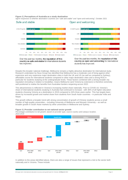### **Figure 2 | Perceptions of Australia as a study destination**

*Agent responses to whether destination countries are "safe and stable" and "open and welcoming", October 2021*

# Safe and stable



### Over the past two months, the reputation of this country as safe and stable for international students has improved.

# Open and welcoming



Over the past two months, the reputation of this country as open and welcoming for international students has improved.

Despite this broader national challenge, Melbourne remains a highly attractive destination for international study. Research undertaken by Nous Group has identified that Melbourne has a moderate cost of living against other expensive and very expensive major destination cities in both the UK and US (as well as compared to Sydney), affordable course for international students compared to other major destination cities and a strong ROI) in particular for students studying at the undergraduate level). These factors combined with a strong broader city reputation (including in relation to liveability), means Melbourne (and Victoria by extension) is therefore extremely well positioned to realise the benefits from Australian borders reopening across 2022.

This attractiveness is reflected in Victoria's increasing market share nationally. Prior to COVID-19, Victoria's share of international students studying in Australia had continued to increase - with 36% of all higher education students choosing Victoria as a destination in 2019 compared to 34% three years earlier. This has largely been driven by increased growth and market share from students from South Asian countries – in particular India and Nepal.

This growth reflects a broader trend with strong concentration of growth of Chinese students across a small number of high-quality universities – including University of Melbourne and Monash University – as well as broader growth in South Asian markets by other universities in Melbourne and Sydney.







In addition to the areas identified above, there are also a range of issues that represent a risk to the sector both nationally and in Victoria. These include: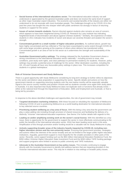- **Social license of the international educations sector.** The international education industry not well understood or appreciated by the general Australian public and does not receive the same level of support as other major Australian export industries. The economic and societal benefits of the industry are either not understood or do not resonate with most Australian people. The challenges brought on by COVID-19 in the past few years has bought this into sharper relief with public sentiment not strongly in favour of returning students or support for the sector.
- **Issues of racism towards students.** Racism directed against students also remains an area of concern, which appears to have been heightened during COVID-19. Research by Lowy Institute has indicating heightened levels of discrimination and abuse against Chinese students. <sup>1</sup> Similarly, the experience of Indian students in 2011 indicates how incidents of racism and abuse can severely threaten and weaken the sector's strength.
- **Concentrated growth to a small number of higher education providers.** As outlined above, growth has been highly concentrated and has reflected a This has been exacerbated to some extent through COVID-19 with some larger providers growing at the expense of others when delivery has transitioned online. Concentrated growth is an area of risk for the sector as it undermines the strength and sustainability of the sector
- **Australian Government policy settings.** The strategy released by the Australian Government shows a strong commitment to the international education sector nationally – including access to visas, visa conditions, post-study work rights, and clear pathways to permanent residency for students. However, policy settings may provide a potential area of challenge for the sector. Other destination countries, including the UK, US and Canada all have very favourable policy settings in place now. This increases competition for students in a global marketplace.

### **Role of Victorian Government and Study Melbourne**

There is a good opportunity with Study Melbourne considering its long-term strategy to further refine its objectives for the sector and distinct value proposition in supporting the sector. Specific details and actions on how the government intends on supporting returning students over the next twelve months will be especially valuable signal to the source country markets and position Victoria well as students consider once again their study plans in Australia. It is also important that Study Melbourne does not duplicate work or functions that already exists – either at the national level through the Department of Education, Skills and Employment and Austrade, or that is being led by providers.

In response to the above identified challenges and opportunities, the role of government may include:

- **Targeted destination marketing initiatives.** With these focused on rebuilding the reputation of Melbourne following COVID-19 and re-positioning Melbourne as a world leading destination for international education to key selected source countries.
- **Prioritising student wellbeing as a key area of focus.** With this being a key area that the government can play a value-adding role including through provision of shared resources and facilitating the delivery of a distinctly 'Victorian' international education experience. See theme 3 for further details with regards to this.
- **Leading on and/or amplifying existing work on the sector's social license.** With this identified as a key issue, there is opportunity for the government to support the sector in more effectively communicating to the public the benefits of the international education sector. IEAA has been leading some work in this area, Amplification of this through promotion and/or funding would be a valuable role for Study Melbourne to play.
- **Actively supporting broader areas of the industry heavily impacted by COVID-19, including nonhigher education sectors and the non-university sector.** Ensuring that government priorities, strategies and actions reflect the interests of the sector broadly and are not limited to the larger public higher education institutions. Arguably, government support is most impactful for the smaller providers in other parts of the sector. Recently, some support funding such as the \$50 million International Education Resilience Fund, the \$350 million Victorian Higher Education State Investment Fund and the \$260 million TAFE funding package and support programs were limited in access to public university and TAFE institutions.
- **Advocate to the Australian Government on key policy issues.** This includes continuing to engage directly with the Australia Government to identify and address barriers that are impacting providers in the Victorian international education sector. This may be in relation to visa settings or broader policy issues.

<sup>1</sup> China - [Lowy Institute Poll 2021](https://poll.lowyinstitute.org/themes/china/)

**A** longer-term international education recovery and growth plan for Victoria | **18 March** 2022 Page 5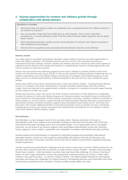# **2. Seizing opportunities for onshore and offshore growth through collaboration with global partners**

### **Questions to consider**

- What partnership and delivery models are anticipated to be in greatest demand from offshore partners in the medium-to-long term?
- How can providers shape their future offerings (e.g. joint programs, short courses, articulation arrangements, in-country delivery) to better meet the needs of diverse student segments and the global labour market?
- What international education markets are the most prospective for Victoria in the medium-to-long-term, both established and emerging?
- What are the most significant risks associated with diversification from the current offering?

### **Delivery models**

As a major player in Australian transnational education, Navitas believes that there are great opportunities in online and offshore education. We therefore welcome the focus of this in the Australian Government's International Education Strategy. However, Navitas also believes that these should not come at the expense of traditional onshore delivery and Australia and instead is a complementary market to existing opportunities that exist for students to study into Australia.

Navitas has successfully been delivering programs across all our colleges to students located in their home country over the past two years due to COVID-19. We are also actively considering delivery models that focus on students undertaking some units offshore before commencing a Foundation and/or Diploma program. At this stage, we are not considering full delivery of offshore programs in the short term but may consider this going forward.

Navitas does believe there will be increased demand in these new delivery models – including blended delivery (such as 2+2 program: with either online delivery or through articulation partnerships) and online delivery. Largely, these are expected to be supplementary to delivery of programs in Australia and should support opening up new markets at a lower price point.

Navitas does not have a clear view on the role of the Victorian Government or Study Melbourne in supporting transition for delivery of online and offshore programs by Victorian providers, but would be open to working with you to identify the most appropriate role the Victorian Government could play, including in relation to promotion of online programs in source countries, support through the Global Education Network (including in government-togovernment activities), and grant funding to support product development and market access. We would note that some of the broader additional benefits of international education (such as broader economic contribution, including good, services and revenue associated with visiting friends and relatives) are not realised in Victoria under these different offshore delivery models.

### **Diversification**

Diversification is a key strategic issue for the university sector. Navitas welcomes the focus on diversification both in the release of the *Australian Strategy for International Education 2021-2030* (the International Education Strategy) and in this consultation paper. As an organisation with a truly global presence, we are proud of our diverse student cohort and believe diversification across the university sector supports a more resilient, sustainable and competitive Australian international education industry.

Navitas believes that diversification is important for individual providers and Australia's international education industry overall as it both supports sustainability and address financial and fiduciary risks (primarily that exist in the public university sector) and risks of student concentration negatively impacting student experience.

Overall, Australia faces diversification challenges that are similar to other major countries. While Australia has not yet been able to diversify away from its reliance on major source country markets – namely China and large South Asian markets – other destination countries have also faced this challenge. As shown in the figure below, no other major destination country has experienced a reduced reliance on China or South Asian markets in the past five years – as shown in [Figure 4](#page-6-0) below. This reflects global demand for international education and shows the challenges for student cohorts in immediately become more diversified with these overarching and global trends in demand. Victoria's profile broadly reflects this also.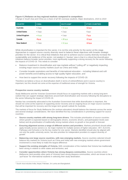### <span id="page-6-0"></span>**Figure 4 | Reliance on key regional markets compared to competitors**

*Change in South Asia and China as a share of all HE overseas students, Major destinations, 2015 to 2019*

| <b>COUNTRY</b>       | <b>CHINA</b> | SOUTH ASIA <sup>2</sup> | <b>OTHER COUNTRIES</b> |
|----------------------|--------------|-------------------------|------------------------|
| Australia            | $+2$ p.p.    | $+11$ p.p.              | $-12$ p.p.             |
| <b>United States</b> | $+3$ p.p.    | $+2$ p.p.               | $-5$ p.p.              |
| United Kingdom       | $+6$ p.p.    | $+1$ p.p.               | $-7$ p.p.              |
| Canada               | $-9$ p.p.    | $+20 p.p.$              | $-11$ p.p.             |
| New Zealand          | $+2$ p.p.    | $+11$ p.p.              | $-12$ p.p.             |

While diversification is important for the sector, it is not the only priority for the sector at this stage. Approaches to support source country diversity need to balance these objectives with broader strategic priorities for the sector. It is critical that initiatives that aim to achieve source country diversity increase the sustainability and resilience of the sector, not weaken it. Navitas' view is that it is critical that diversification initiatives balance broader sector priorities, most significantly supporting a strong recovery for the sector following the impacts of COVID-19. This needs to consider:

- Balance investment in diversification and new markets without "cutting off" or negatively impacting existing major source country markets (such as China and India)
- Consider broader aspirations and benefits of international education including bilateral and soft power benefits and enabling access to high quality higher education, and
- How best to support the sector recovery following the impacts of COVID-19.

Therefore we believe a focus on diversification (both in terms of online/offshore and in source country) is important, but this should not come at the expense of traditional areas of strength for Victoria.

### **Prospective source country markets**

Study Melbourne and the Victorian Government should focus on supporting markets with a strong long-term outlook that can support strategic objectives around both diversification and recovery following the disruptions to the sector following the impact of COVID-19.

Navitas has consistently advocated to the Australian Government that while diversification is important, this should not come at the expense of supporting sector recovery and an ongoing focus on major source countries that will be important for recovery and the longer-term growth outlook for Australia.

The markets of focus for Study Melbourne (for onshore education) should balance the interests across the sector and several strategic considerations. We have identified five key considerations in prioritising support for source countries:

- **Source country markets with strong long-term drivers.** This includes prioritisation of source countries where growth is expected based on demographic drivers, economic drivers, and participation levels (see below) and de-prioritisation of traditionally strong markets where no growth or low growth is forecast
- **Ensuring alignment across a range of different sectors and providers.** Markets prioritised should either apply broadly across sectors (i.e. be major markets for multiple sectors of higher education, VET, ELICOS, Pathways and Schools) or be the key market for one sector. Markets identified should also be aligned with not only the public university sector, but also priorities for independent providers to support diversity of growth
- **Balancing core large source countries, with new emerging markets.** Source countries selected should balance key markets for Victoria (such as China and India) with new emerging markets where government involvement is most likely to make the largest difference
- **Support the existing strengths of Victoria.** With consideration of the markets that Victoria has traditionally been strong in relative to other states and territories; and
- **Consider opportunities where Victoria has strong diaspora communities.** Source countries where Melbourne (and possibly other parts of Victoria) have strong diaspora communities, which are known to be a 'pull factor' for international students in selecting their study destination.

<sup>&</sup>lt;sup>2</sup> South Asia includes India, Nepal, Pakistan, Sri Lanka and Bangladesh.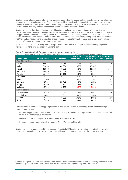Navitas has developed a proprietary global forecast model which forecasts global student mobility from all source countries to all destination countries. This includes consideration of socio-economic factors, demographic trends, and higher education participation trends. A summary of the outlook for major source countries is outlined in [Figure 5](#page-7-0) below that may support identification of market opportunities for Victoria.

Navitas would see that Study Melbourne would continue to play a role in supporting growth in existing major markets which will continue to be important for sector growth, namely China and India. In addition to this, there is an opportunity for focus on supporting growth in source countries with strong growth drivers. As per below, this should include countries such as Vietnam and Sri Lanka. It may also consider supporting entry into new markets that Victoria has not traditionally attracted large numbers of students from, but has a strong long-term outlook – such as African growth markets like Nigeria or Kenya.

Navitas would be open to working with the department further on this to support identification of prospective markets for Victoria over the medium and long term.

| <b>Destination</b>      | <b>2019 (Actual)</b> | 2030 (Forecast) | % CAGR<br>2020 to 2030 | Net growth<br>2020 to 2030 | <b>Contribution to</b><br>all net growth |
|-------------------------|----------------------|-----------------|------------------------|----------------------------|------------------------------------------|
| <b>Top 10 countries</b> |                      |                 |                        |                            |                                          |
| China                   | 137,675              | 178,044         | 3.3%                   | 49,386                     | 24%                                      |
| India                   | 71,464               | 103,834         | 4.7%                   | 38,247                     | 19%                                      |
| Nepal                   | 28,576               | 49,659          | 5.3%                   | 20,118                     | 10%                                      |
| Viet Nam                | 22,919               | 47,428          | 8.3%                   | 26,114                     | 13%                                      |
| Pakistan                | 11,459               | 20,116          | 5.9%                   | 8,814                      | 4%                                       |
| Sri Lanka               | 9,471                | 19,951          | 8.3%                   | 10,943                     | 5%                                       |
| Indonesia               | 12,945               | 19,865          | 3.6%                   | 5,961                      | 3%                                       |
| Singapore               | 8,814                | 12,431          | 5.5%                   | 5,121                      | 3%                                       |
| Philippines             | 5,390                | 8,310           | 4.4%                   | 2,927                      | 1%                                       |
| Malaysia                | 13,784               | 8,103           | $-3.9%$                | $-3,948$                   | $-2%$                                    |
| <b>Select others</b>    |                      |                 |                        |                            |                                          |
| Saudi Arabia            | 3,272                | 7,989           | 6.8%                   | 3,865                      | 2%                                       |
| Bangladesh              | 3,481                | 7,363           | 4.4%                   | 2,584                      | 1%                                       |
| Nigeria                 | 2,125                | 6,331           | 10.9%                  | 4,092                      | 2%                                       |
| Kenya                   | 2,206                | 4,386           | 6.4%                   | 2,026                      | 1%                                       |

### <span id="page-7-0"></span>**Figure 5 | Market outlook for major source countries to Australia<sup>3</sup>** *Forecast tertiary students from 2020 to 2030, Australia, select major international education source countries*

The Victorian Government can support prospective markets for Victoria supporting provider growth through a range of approaches:

- Establishing government-to-government relationships, partnerships, and agreements at the national and city levels in markets of focus for Victoria
- Destination specific campaigns targeted to key emerging markets
- In-market support through the Government's Global Education Network.

Navitas is also very supportive of the expansion of the Global Education Network into emerging high-growth markets – in particular into Kenya and Vietnam – which are key priority markets for the pathway sector.

<sup>3</sup> Note: these figures are based on a scenario where Australia has a moderate decline in market share in key countries in 2030 compared to pre-COVID levels. This is in line with the most recent Navitas agent survey from September 2021.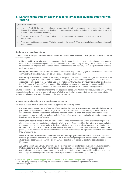# **3. Enhancing the student experience for international students studying with Victoria**

### **Questions to consider**

- How can Study Melbourne best enhance the end-to-end student experience from prospective students' first consideration of Victoria as a destination, through their experience during study and transition into the workforce (in Australia or overseas)?
- What are the most significant barriers to a positive end-to-end experience and how can they be addressed?
- What opportunities does regional Victoria present to the sector? What are the challenges of pursuing such opportunities?

### **Students' end to end experience**

In terms of barriers to positive end-to-end experiences, Navitas sees particular challenges for students across the following stages:

- **Initial arrival in Australia.** When students first arrive in Australia this can be a challenging process as they begin to transition to life living in a new city and country. Supports during this stage are important to ensure students remain engaged and establish strong connections to their new city – including with fellow students and more broadly.
- **During holiday times.** Where students can feel isolated as may not be engaged in the academic, social and community activities they would typically be engaged in during term-time
- **Post-study employment.** Students post-study employment outcomes could be stronger, and this is an area we see challenges in the end-to-end experience – including in being 'underemployed' relative to domestic graduates or employed in areas not related to their studies. <sup>4</sup> Navitas has previously advocated for changes to the Temporary Graduate Visa to support this, including campaign to employers to encourage hiring international students as graduates. Government as an employer is also important to support this.

Navitas does not see significant barriers in the pre-departure space, with Melbourne's reputation relatively strong amongst students, families and agent networks. While this can be further supported (by providers and Study Melbourne) it is not a key area of concern in the student journey.

### **Areas where Study Melbourne are well placed to support**

Navitas would see value in Study Melbourne supporting the following areas:

- **Engagement across a range of stages of the student journey to supplement existing initiatives led by providers.** This provides a broader range of supports in addition and complementary to those that are already being provided by education providers. This may include events, workshops and broader social engagements held at the Study Melbourne hub. As identified above, this is particularly important during the initial stages of the student's study.
- **Identifying opportunities to reduce travel costs.** Melbourne is identified as one of the more expensive global cities in terms of public transport costs. Work by Nous Group identifies that with travel costs included Melbourne rises from a low-cost city to live into a relatively expensive study destination. Providing free or reduced cost public transport travel for international students (as occurs in South Australia and other cities globally) would increase the attractiveness to the city and acknowledge the significant economic contribution they already make.
- **Work in broader areas such as accommodation and employability / innovation.** These are key areas where a government role would be valuable. ROI is an increasingly important consideration for international students and accommodation will be an area where attention is required as students begin to return to Melbourne.
- **Actively promoting pathway programs as a study option for students** (including Foundation programs, Diploma pathways and ELICOS) acknowledging that pathway programs consistently support strong academic outcomes and are appropriate study options for students that require additional levels of support (which is particularly important following the disruption to education caused by COVID-19).

<sup>4</sup> See Chew, J. (2019) 'Economic [opportunities](https://www.ieaa.org.au/research/post-study-work-rights) and outcomes of post-study work rights' and Tang et al.

<sup>(2021)</sup> 'The going gets rougher: Exploring the labour market outcomes of international graduates in Australia', *International Migration.*

**A** longer-term international education recovery and growth plan for Victoria | 18 March 2022 Page 9